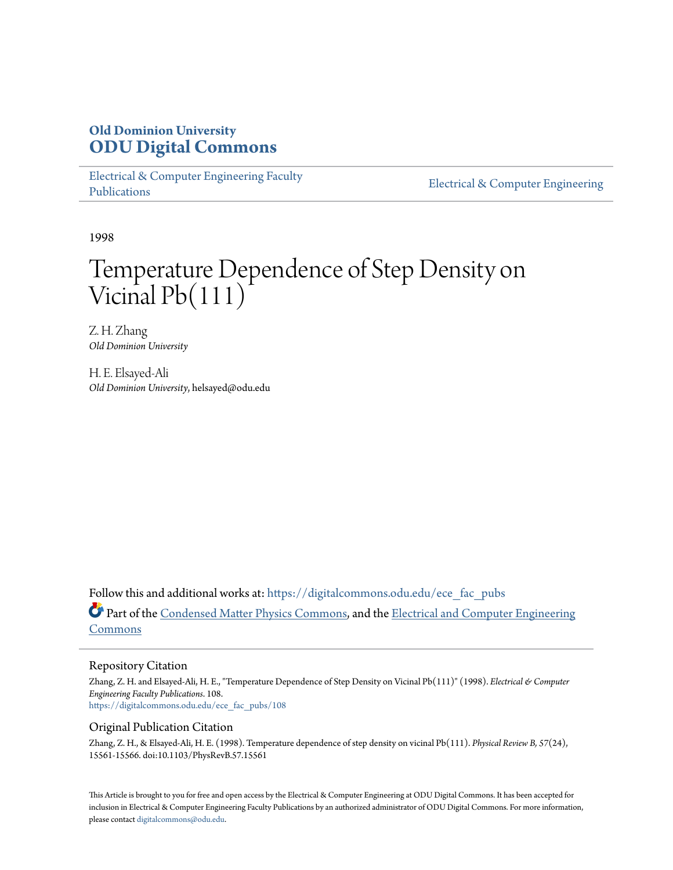# **Old Dominion University [ODU Digital Commons](https://digitalcommons.odu.edu?utm_source=digitalcommons.odu.edu%2Fece_fac_pubs%2F108&utm_medium=PDF&utm_campaign=PDFCoverPages)**

[Electrical & Computer Engineering Faculty](https://digitalcommons.odu.edu/ece_fac_pubs?utm_source=digitalcommons.odu.edu%2Fece_fac_pubs%2F108&utm_medium=PDF&utm_campaign=PDFCoverPages) [Publications](https://digitalcommons.odu.edu/ece_fac_pubs?utm_source=digitalcommons.odu.edu%2Fece_fac_pubs%2F108&utm_medium=PDF&utm_campaign=PDFCoverPages)

[Electrical & Computer Engineering](https://digitalcommons.odu.edu/ece?utm_source=digitalcommons.odu.edu%2Fece_fac_pubs%2F108&utm_medium=PDF&utm_campaign=PDFCoverPages)

1998

# Temperature Dependence of Step Density on Vicinal Pb(111)

Z. H. Zhang *Old Dominion University*

H. E. Elsayed-Ali *Old Dominion University*, helsayed@odu.edu

Follow this and additional works at: [https://digitalcommons.odu.edu/ece\\_fac\\_pubs](https://digitalcommons.odu.edu/ece_fac_pubs?utm_source=digitalcommons.odu.edu%2Fece_fac_pubs%2F108&utm_medium=PDF&utm_campaign=PDFCoverPages) Part of the [Condensed Matter Physics Commons,](http://network.bepress.com/hgg/discipline/197?utm_source=digitalcommons.odu.edu%2Fece_fac_pubs%2F108&utm_medium=PDF&utm_campaign=PDFCoverPages) and the [Electrical and Computer Engineering](http://network.bepress.com/hgg/discipline/266?utm_source=digitalcommons.odu.edu%2Fece_fac_pubs%2F108&utm_medium=PDF&utm_campaign=PDFCoverPages) [Commons](http://network.bepress.com/hgg/discipline/266?utm_source=digitalcommons.odu.edu%2Fece_fac_pubs%2F108&utm_medium=PDF&utm_campaign=PDFCoverPages)

# Repository Citation

Zhang, Z. H. and Elsayed-Ali, H. E., "Temperature Dependence of Step Density on Vicinal Pb(111)" (1998). *Electrical & Computer Engineering Faculty Publications*. 108. [https://digitalcommons.odu.edu/ece\\_fac\\_pubs/108](https://digitalcommons.odu.edu/ece_fac_pubs/108?utm_source=digitalcommons.odu.edu%2Fece_fac_pubs%2F108&utm_medium=PDF&utm_campaign=PDFCoverPages)

# Original Publication Citation

Zhang, Z. H., & Elsayed-Ali, H. E. (1998). Temperature dependence of step density on vicinal Pb(111). *Physical Review B, 57*(24), 15561-15566. doi:10.1103/PhysRevB.57.15561

This Article is brought to you for free and open access by the Electrical & Computer Engineering at ODU Digital Commons. It has been accepted for inclusion in Electrical & Computer Engineering Faculty Publications by an authorized administrator of ODU Digital Commons. For more information, please contact [digitalcommons@odu.edu](mailto:digitalcommons@odu.edu).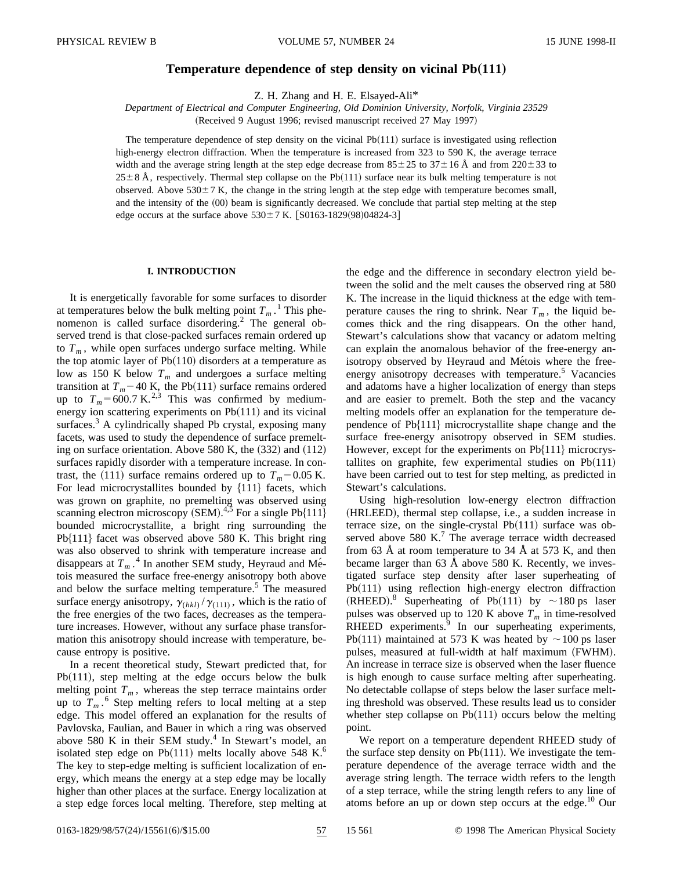## **Temperature dependence of step density on vicinal Pb** $(111)$

Z. H. Zhang and H. E. Elsayed-Ali\*

*Department of Electrical and Computer Engineering, Old Dominion University, Norfolk, Virginia 23529* (Received 9 August 1996; revised manuscript received 27 May 1997)

The temperature dependence of step density on the vicinal  $Pb(111)$  surface is investigated using reflection high-energy electron diffraction. When the temperature is increased from 323 to 590 K, the average terrace width and the average string length at the step edge decrease from  $85 \pm 25$  to  $37 \pm 16$  Å and from  $220 \pm 33$  to  $25\pm8$  Å, respectively. Thermal step collapse on the Pb(111) surface near its bulk melting temperature is not observed. Above  $530\pm7$  K, the change in the string length at the step edge with temperature becomes small, and the intensity of the (00) beam is significantly decreased. We conclude that partial step melting at the step edge occurs at the surface above  $530 \pm 7$  K.  $[$0163-1829(98)04824-3]$ 

### **I. INTRODUCTION**

It is energetically favorable for some surfaces to disorder at temperatures below the bulk melting point  $T_m$ .<sup>1</sup> This phenomenon is called surface disordering.<sup>2</sup> The general observed trend is that close-packed surfaces remain ordered up to  $T_m$ , while open surfaces undergo surface melting. While the top atomic layer of  $Pb(110)$  disorders at a temperature as low as 150 K below  $T_m$  and undergoes a surface melting transition at  $T_m$ –40 K, the Pb(111) surface remains ordered up to  $T_m = 600.7 \text{ K.}^{2,3}$  This was confirmed by mediumenergy ion scattering experiments on  $Pb(111)$  and its vicinal surfaces.<sup>3</sup> A cylindrically shaped Pb crystal, exposing many facets, was used to study the dependence of surface premelting on surface orientation. Above  $580$  K, the  $(332)$  and  $(112)$ surfaces rapidly disorder with a temperature increase. In contrast, the  $(111)$  surface remains ordered up to  $T_m$ –0.05 K. For lead microcrystallites bounded by  ${111}$  facets, which was grown on graphite, no premelting was observed using scanning electron microscopy (SEM). $4\frac{1}{2}$  For a single Pb{111} bounded microcrystallite, a bright ring surrounding the  $Pb{111}$  facet was observed above 580 K. This bright ring was also observed to shrink with temperature increase and disappears at  $T_m$ .<sup>4</sup> In another SEM study, Heyraud and Métois measured the surface free-energy anisotropy both above and below the surface melting temperature.<sup>5</sup> The measured surface energy anisotropy,  $\gamma_{(hkl)}/\gamma_{(111)}$ , which is the ratio of the free energies of the two faces, decreases as the temperature increases. However, without any surface phase transformation this anisotropy should increase with temperature, because entropy is positive.

In a recent theoretical study, Stewart predicted that, for  $Pb(111)$ , step melting at the edge occurs below the bulk melting point  $T_m$ , whereas the step terrace maintains order up to  $T_m$ .<sup>6</sup> Step melting refers to local melting at a step edge. This model offered an explanation for the results of Pavlovska, Faulian, and Bauer in which a ring was observed above 580 K in their SEM study. $4$  In Stewart's model, an isolated step edge on Pb $(111)$  melts locally above 548 K.<sup>6</sup> The key to step-edge melting is sufficient localization of energy, which means the energy at a step edge may be locally higher than other places at the surface. Energy localization at a step edge forces local melting. Therefore, step melting at the edge and the difference in secondary electron yield between the solid and the melt causes the observed ring at 580 K. The increase in the liquid thickness at the edge with temperature causes the ring to shrink. Near  $T_m$ , the liquid becomes thick and the ring disappears. On the other hand, Stewart's calculations show that vacancy or adatom melting can explain the anomalous behavior of the free-energy anisotropy observed by Heyraud and Métois where the freeenergy anisotropy decreases with temperature.<sup>5</sup> Vacancies and adatoms have a higher localization of energy than steps and are easier to premelt. Both the step and the vacancy melting models offer an explanation for the temperature dependence of  $Pb{111}$  microcrystallite shape change and the surface free-energy anisotropy observed in SEM studies. However, except for the experiments on  $Pb{111}$  microcrystallites on graphite, few experimental studies on  $Pb(111)$ have been carried out to test for step melting, as predicted in Stewart's calculations.

Using high-resolution low-energy electron diffraction (HRLEED), thermal step collapse, i.e., a sudden increase in terrace size, on the single-crystal  $Pb(111)$  surface was observed above  $580 \text{ K}$ .<sup>7</sup> The average terrace width decreased from 63 Å at room temperature to 34 Å at 573 K, and then became larger than 63 Å above 580 K. Recently, we investigated surface step density after laser superheating of  $Pb(111)$  using reflection high-energy electron diffraction (RHEED).<sup>8</sup> Superheating of Pb(111) by  $\sim$ 180 ps laser pulses was observed up to 120 K above  $T_m$  in time-resolved  $RHEED$  experiments. $9$  In our superheating experiments, Pb(111) maintained at 573 K was heated by  $\sim$ 100 ps laser pulses, measured at full-width at half maximum (FWHM). An increase in terrace size is observed when the laser fluence is high enough to cause surface melting after superheating. No detectable collapse of steps below the laser surface melting threshold was observed. These results lead us to consider whether step collapse on  $Pb(111)$  occurs below the melting point.

We report on a temperature dependent RHEED study of the surface step density on Pb $(111)$ . We investigate the temperature dependence of the average terrace width and the average string length. The terrace width refers to the length of a step terrace, while the string length refers to any line of atoms before an up or down step occurs at the edge.<sup>10</sup> Our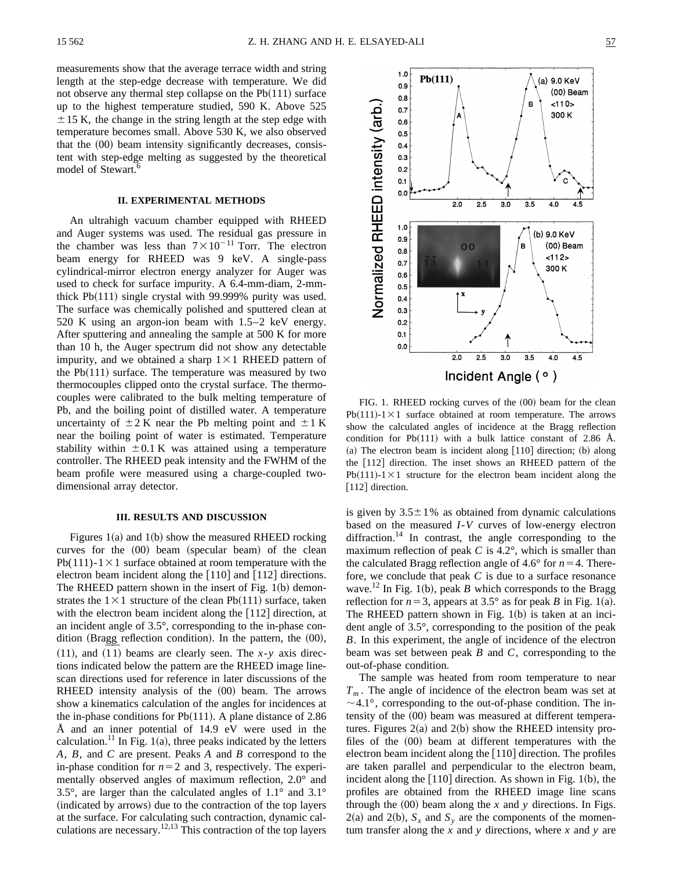measurements show that the average terrace width and string length at the step-edge decrease with temperature. We did not observe any thermal step collapse on the  $Pb(111)$  surface up to the highest temperature studied, 590 K. Above 525  $\pm$  15 K, the change in the string length at the step edge with temperature becomes small. Above 530 K, we also observed that the  $(00)$  beam intensity significantly decreases, consistent with step-edge melting as suggested by the theoretical model of Stewart.<sup>6</sup>

#### **II. EXPERIMENTAL METHODS**

An ultrahigh vacuum chamber equipped with RHEED and Auger systems was used. The residual gas pressure in the chamber was less than  $7 \times 10^{-11}$  Torr. The electron beam energy for RHEED was 9 keV. A single-pass cylindrical-mirror electron energy analyzer for Auger was used to check for surface impurity. A 6.4-mm-diam, 2-mmthick  $Pb(111)$  single crystal with 99.999% purity was used. The surface was chemically polished and sputtered clean at 520 K using an argon-ion beam with 1.5–2 keV energy. After sputtering and annealing the sample at 500 K for more than 10 h, the Auger spectrum did not show any detectable impurity, and we obtained a sharp  $1\times1$  RHEED pattern of the  $Pb(111)$  surface. The temperature was measured by two thermocouples clipped onto the crystal surface. The thermocouples were calibrated to the bulk melting temperature of Pb, and the boiling point of distilled water. A temperature uncertainty of  $\pm 2$  K near the Pb melting point and  $\pm 1$  K near the boiling point of water is estimated. Temperature stability within  $\pm 0.1$  K was attained using a temperature controller. The RHEED peak intensity and the FWHM of the beam profile were measured using a charge-coupled twodimensional array detector.

#### **III. RESULTS AND DISCUSSION**

Figures  $1(a)$  and  $1(b)$  show the measured RHEED rocking curves for the  $(00)$  beam (specular beam) of the clean Pb(111)-1 $\times$ 1 surface obtained at room temperature with the electron beam incident along the  $[110]$  and  $[112]$  directions. The RHEED pattern shown in the insert of Fig.  $1(b)$  demonstrates the  $1\times1$  structure of the clean Pb(111) surface, taken with the electron beam incident along the  $|112|$  direction, at an incident angle of 3.5°, corresponding to the in-phase condition (Bragg reflection condition). In the pattern, the  $(00)$ ,  $^{111}$ , and  $^{111}$  beams are clearly seen. The *x*-*y* axis directions indicated below the pattern are the RHEED image linescan directions used for reference in later discussions of the RHEED intensity analysis of the  $(00)$  beam. The arrows show a kinematics calculation of the angles for incidences at the in-phase conditions for Pb $(111)$ . A plane distance of 2.86 Å and an inner potential of 14.9 eV were used in the calculation.<sup>11</sup> In Fig. 1(a), three peaks indicated by the letters *A*, *B*, and *C* are present. Peaks *A* and *B* correspond to the in-phase condition for  $n=2$  and 3, respectively. The experimentally observed angles of maximum reflection, 2.0° and 3.5°, are larger than the calculated angles of 1.1° and 3.1° (indicated by arrows) due to the contraction of the top layers at the surface. For calculating such contraction, dynamic calculations are necessary.<sup>12,13</sup> This contraction of the top layers



FIG. 1. RHEED rocking curves of the  $(00)$  beam for the clean  $Pb(111)-1\times1$  surface obtained at room temperature. The arrows show the calculated angles of incidence at the Bragg reflection condition for Pb $(111)$  with a bulk lattice constant of 2.86 Å.  $(a)$  The electron beam is incident along  $[110]$  direction;  $(b)$  along the [112] direction. The inset shows an RHEED pattern of the  $Pb(111)-1\times1$  structure for the electron beam incident along the [112] direction.

is given by  $3.5\pm1\%$  as obtained from dynamic calculations based on the measured *I*-*V* curves of low-energy electron diffraction.<sup>14</sup> In contrast, the angle corresponding to the maximum reflection of peak  $C$  is 4.2°, which is smaller than the calculated Bragg reflection angle of 4.6° for  $n=4$ . Therefore, we conclude that peak *C* is due to a surface resonance wave.<sup>12</sup> In Fig. 1(b), peak *B* which corresponds to the Bragg reflection for  $n=3$ , appears at 3.5° as for peak *B* in Fig. 1(a). The RHEED pattern shown in Fig.  $1(b)$  is taken at an incident angle of 3.5°, corresponding to the position of the peak *B*. In this experiment, the angle of incidence of the electron beam was set between peak *B* and *C*, corresponding to the out-of-phase condition.

The sample was heated from room temperature to near *Tm* . The angle of incidence of the electron beam was set at  $\sim$  4.1°, corresponding to the out-of-phase condition. The intensity of the  $(00)$  beam was measured at different temperatures. Figures  $2(a)$  and  $2(b)$  show the RHEED intensity profiles of the  $(00)$  beam at different temperatures with the electron beam incident along the  $[110]$  direction. The profiles are taken parallel and perpendicular to the electron beam, incident along the  $[110]$  direction. As shown in Fig. 1(b), the profiles are obtained from the RHEED image line scans through the  $(00)$  beam along the *x* and *y* directions. In Figs.  $2(a)$  and  $2(b)$ ,  $S_x$  and  $S_y$  are the components of the momentum transfer along the *x* and *y* directions, where *x* and *y* are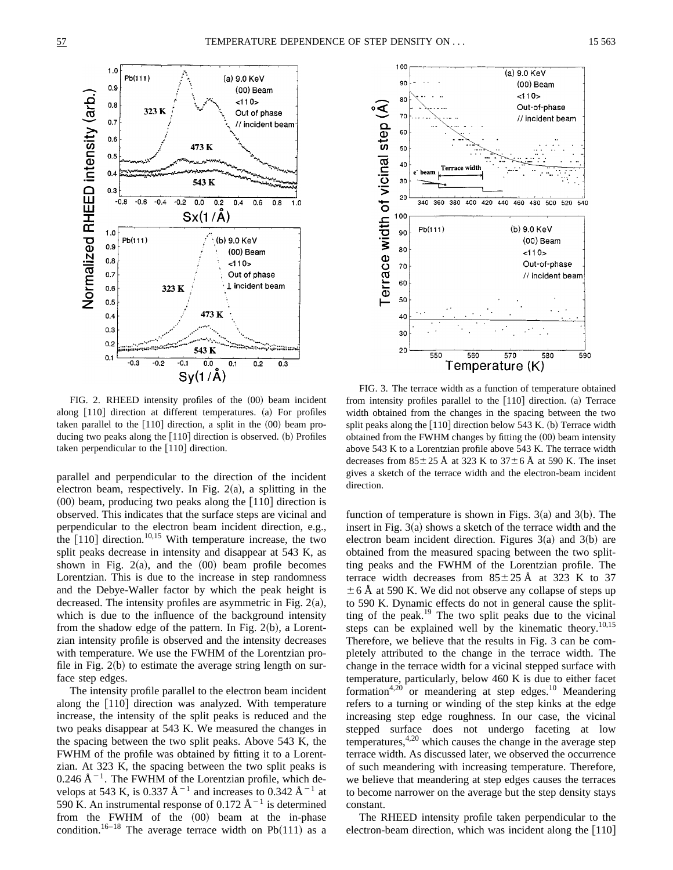100

۹Ū

80

70

(a) 9.0 KeV

 $110$ 

(00) Beam

Out-of-phase

// incident beam





FIG. 2. RHEED intensity profiles of the  $(00)$  beam incident along  $[110]$  direction at different temperatures.  $(a)$  For profiles taken parallel to the  $[110]$  direction, a split in the  $(00)$  beam producing two peaks along the  $[110]$  direction is observed. (b) Profiles taken perpendicular to the  $[110]$  direction.

parallel and perpendicular to the direction of the incident electron beam, respectively. In Fig.  $2(a)$ , a splitting in the  $(00)$  beam, producing two peaks along the  $[110]$  direction is observed. This indicates that the surface steps are vicinal and perpendicular to the electron beam incident direction, e.g., the  $[110]$  direction.<sup>10,15</sup> With temperature increase, the two split peaks decrease in intensity and disappear at 543 K, as shown in Fig.  $2(a)$ , and the  $(00)$  beam profile becomes Lorentzian. This is due to the increase in step randomness and the Debye-Waller factor by which the peak height is decreased. The intensity profiles are asymmetric in Fig.  $2(a)$ , which is due to the influence of the background intensity from the shadow edge of the pattern. In Fig.  $2(b)$ , a Lorentzian intensity profile is observed and the intensity decreases with temperature. We use the FWHM of the Lorentzian profile in Fig.  $2(b)$  to estimate the average string length on surface step edges.

The intensity profile parallel to the electron beam incident along the  $[110]$  direction was analyzed. With temperature increase, the intensity of the split peaks is reduced and the two peaks disappear at 543 K. We measured the changes in the spacing between the two split peaks. Above 543 K, the FWHM of the profile was obtained by fitting it to a Lorentzian. At 323 K, the spacing between the two split peaks is 0.246 Å<sup> $-1$ </sup>. The FWHM of the Lorentzian profile, which develops at 543 K, is 0.337  $\text{\AA}^{-1}$  and increases to 0.342  $\text{\AA}^{-1}$  at 590 K. An instrumental response of 0.172  $\AA^{-1}$  is determined from the FWHM of the  $(00)$  beam at the in-phase condition.<sup>16–18</sup> The average terrace width on Pb $(111)$  as a

FIG. 3. The terrace width as a function of temperature obtained from intensity profiles parallel to the [110] direction. (a) Terrace width obtained from the changes in the spacing between the two split peaks along the  $[110]$  direction below 543 K. (b) Terrace width obtained from the FWHM changes by fitting the  $(00)$  beam intensity above 543 K to a Lorentzian profile above 543 K. The terrace width decreases from  $85\pm25$  Å at 323 K to  $37\pm6$  Å at 590 K. The inset gives a sketch of the terrace width and the electron-beam incident direction.

function of temperature is shown in Figs.  $3(a)$  and  $3(b)$ . The insert in Fig.  $3(a)$  shows a sketch of the terrace width and the electron beam incident direction. Figures  $3(a)$  and  $3(b)$  are obtained from the measured spacing between the two splitting peaks and the FWHM of the Lorentzian profile. The terrace width decreases from  $85 \pm 25$  Å at 323 K to 37  $\pm$  6 Å at 590 K. We did not observe any collapse of steps up to 590 K. Dynamic effects do not in general cause the splitting of the peak.<sup>19</sup> The two split peaks due to the vicinal steps can be explained well by the kinematic theory.<sup>10,15</sup> Therefore, we believe that the results in Fig. 3 can be completely attributed to the change in the terrace width. The change in the terrace width for a vicinal stepped surface with temperature, particularly, below 460 K is due to either facet formation<sup>4,20</sup> or meandering at step edges.<sup>10</sup> Meandering refers to a turning or winding of the step kinks at the edge increasing step edge roughness. In our case, the vicinal stepped surface does not undergo faceting at low  $temperatures, <sup>4,20</sup>$  which causes the change in the average step terrace width. As discussed later, we observed the occurrence of such meandering with increasing temperature. Therefore, we believe that meandering at step edges causes the terraces to become narrower on the average but the step density stays constant.

The RHEED intensity profile taken perpendicular to the electron-beam direction, which was incident along the  $[110]$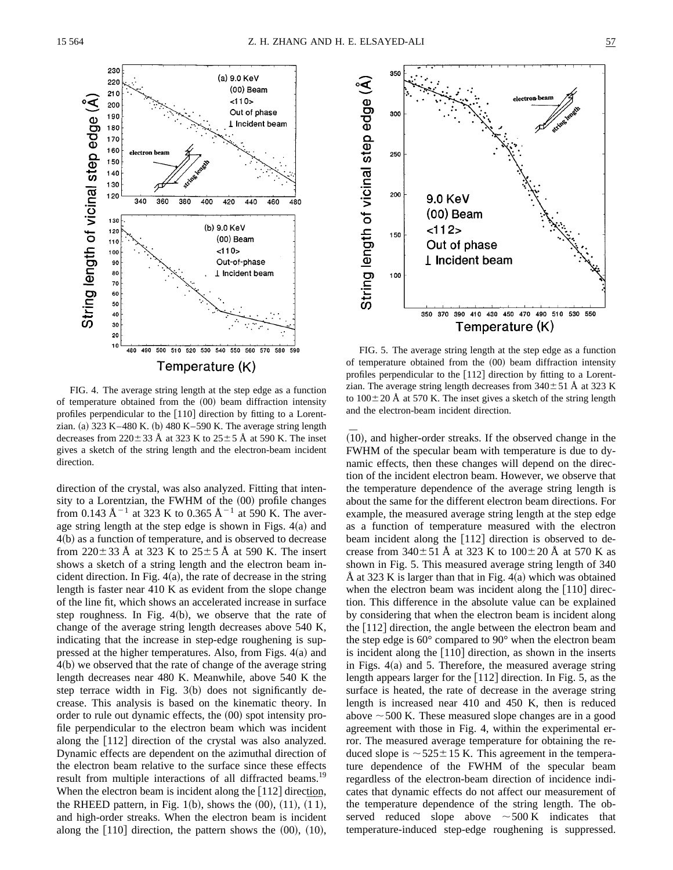

FIG. 4. The average string length at the step edge as a function of temperature obtained from the  $(00)$  beam diffraction intensity profiles perpendicular to the  $[110]$  direction by fitting to a Lorentzian. (a)  $323 K-480 K$ . (b)  $480 K-590 K$ . The average string length decreases from  $220 \pm 33$  Å at 323 K to  $25 \pm 5$  Å at 590 K. The inset gives a sketch of the string length and the electron-beam incident direction.

direction of the crystal, was also analyzed. Fitting that intensity to a Lorentzian, the FWHM of the  $(00)$  profile changes from 0.143 Å<sup>-1</sup> at 323 K to 0.365 Å<sup>-1</sup> at 590 K. The average string length at the step edge is shown in Figs.  $4(a)$  and  $4(b)$  as a function of temperature, and is observed to decrease from  $220 \pm 33$  Å at 323 K to  $25 \pm 5$  Å at 590 K. The insert shows a sketch of a string length and the electron beam incident direction. In Fig.  $4(a)$ , the rate of decrease in the string length is faster near 410 K as evident from the slope change of the line fit, which shows an accelerated increase in surface step roughness. In Fig.  $4(b)$ , we observe that the rate of change of the average string length decreases above 540 K, indicating that the increase in step-edge roughening is suppressed at the higher temperatures. Also, from Figs.  $4(a)$  and  $4(b)$  we observed that the rate of change of the average string length decreases near 480 K. Meanwhile, above 540 K the step terrace width in Fig.  $3(b)$  does not significantly decrease. This analysis is based on the kinematic theory. In order to rule out dynamic effects, the  $(00)$  spot intensity profile perpendicular to the electron beam which was incident along the  $[112]$  direction of the crystal was also analyzed. Dynamic effects are dependent on the azimuthal direction of the electron beam relative to the surface since these effects result from multiple interactions of all diffracted beams.<sup>19</sup> When the electron beam is incident along the  $[112]$  direction, when the electron beam is included along the  $[112]$  uncertainty the RHEED pattern, in Fig. 1(b), shows the  $(00)$ ,  $(11)$ ,  $(\overline{11})$ , and high-order streaks. When the electron beam is incident along the  $[110]$  direction, the pattern shows the  $(00)$ ,  $(10)$ ,



FIG. 5. The average string length at the step edge as a function of temperature obtained from the  $(00)$  beam diffraction intensity profiles perpendicular to the  $[112]$  direction by fitting to a Lorentzian. The average string length decreases from  $340 \pm 51$  Å at 323 K to  $100\pm20$  Å at 570 K. The inset gives a sketch of the string length and the electron-beam incident direction.

 $(10)$ , and higher-order streaks. If the observed change in the FWHM of the specular beam with temperature is due to dynamic effects, then these changes will depend on the direction of the incident electron beam. However, we observe that the temperature dependence of the average string length is about the same for the different electron beam directions. For example, the measured average string length at the step edge as a function of temperature measured with the electron beam incident along the  $[112]$  direction is observed to decrease from  $340 \pm 51$  Å at 323 K to  $100 \pm 20$  Å at 570 K as shown in Fig. 5. This measured average string length of 340 Å at 323 K is larger than that in Fig.  $4(a)$  which was obtained when the electron beam was incident along the  $[110]$  direction. This difference in the absolute value can be explained by considering that when the electron beam is incident along the  $[112]$  direction, the angle between the electron beam and the step edge is 60° compared to 90° when the electron beam is incident along the  $[110]$  direction, as shown in the inserts in Figs.  $4(a)$  and 5. Therefore, the measured average string length appears larger for the  $[112]$  direction. In Fig. 5, as the surface is heated, the rate of decrease in the average string length is increased near 410 and 450 K, then is reduced above  $\sim$  500 K. These measured slope changes are in a good agreement with those in Fig. 4, within the experimental error. The measured average temperature for obtaining the reduced slope is  $\sim$  525 $\pm$ 15 K. This agreement in the temperature dependence of the FWHM of the specular beam regardless of the electron-beam direction of incidence indicates that dynamic effects do not affect our measurement of the temperature dependence of the string length. The observed reduced slope above  $\sim$  500 K indicates that temperature-induced step-edge roughening is suppressed.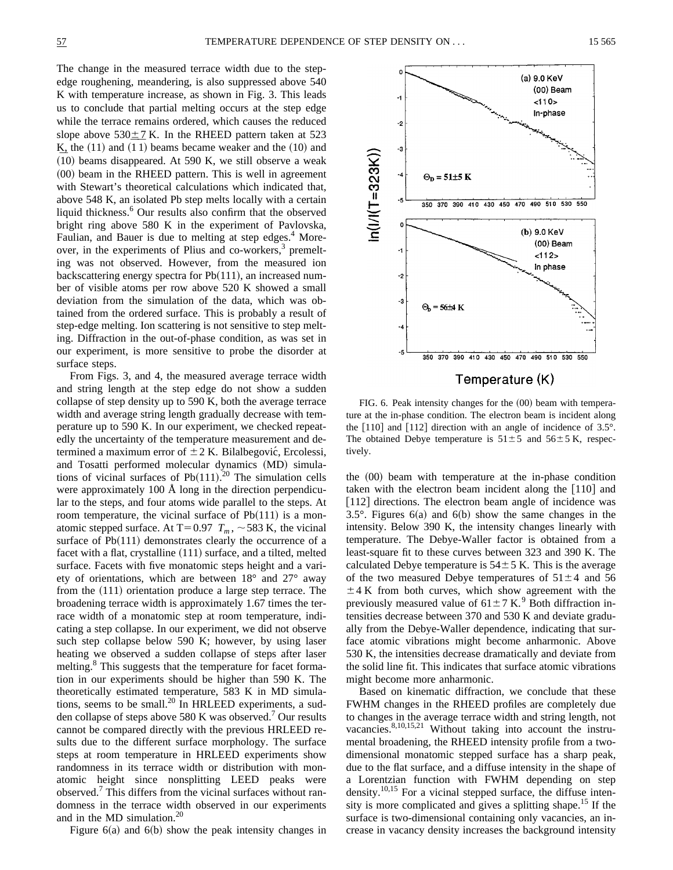The change in the measured terrace width due to the stepedge roughening, meandering, is also suppressed above 540 K with temperature increase, as shown in Fig. 3. This leads us to conclude that partial melting occurs at the step edge while the terrace remains ordered, which causes the reduced slope above  $530\pm7$  K. In the RHEED pattern taken at 523 Slope above  $330 \pm 7$  K. In the KHEED pattern taken at  $323$ <br>K, the (11) and (11) beams became weaker and the (10) and  $\overline{A}$ , the (11) and (11) beams became weaker and the (10) and (10) beams disappeared. At 590 K, we still observe a weak  $(00)$  beam in the RHEED pattern. This is well in agreement with Stewart's theoretical calculations which indicated that, above 548 K, an isolated Pb step melts locally with a certain liquid thickness.<sup>6</sup> Our results also confirm that the observed bright ring above 580 K in the experiment of Pavlovska, Faulian, and Bauer is due to melting at step edges.<sup>4</sup> Moreover, in the experiments of Plius and co-workers, $3$  premelting was not observed. However, from the measured ion backscattering energy spectra for  $Pb(111)$ , an increased number of visible atoms per row above 520 K showed a small deviation from the simulation of the data, which was obtained from the ordered surface. This is probably a result of step-edge melting. Ion scattering is not sensitive to step melting. Diffraction in the out-of-phase condition, as was set in our experiment, is more sensitive to probe the disorder at surface steps.

From Figs. 3, and 4, the measured average terrace width and string length at the step edge do not show a sudden collapse of step density up to 590 K, both the average terrace width and average string length gradually decrease with temperature up to 590 K. In our experiment, we checked repeatedly the uncertainty of the temperature measurement and determined a maximum error of  $\pm 2$  K. Bilalbegović, Ercolessi, and Tosatti performed molecular dynamics (MD) simulations of vicinal surfaces of  $Pb(111)$ .<sup>20</sup> The simulation cells were approximately 100 Å long in the direction perpendicular to the steps, and four atoms wide parallel to the steps. At room temperature, the vicinal surface of  $Pb(111)$  is a monatomic stepped surface. At T=0.97  $T_m$ ,  $\sim$  583 K, the vicinal surface of  $Pb(111)$  demonstrates clearly the occurrence of a facet with a flat, crystalline  $(111)$  surface, and a tilted, melted surface. Facets with five monatomic steps height and a variety of orientations, which are between 18° and 27° away from the  $(111)$  orientation produce a large step terrace. The broadening terrace width is approximately 1.67 times the terrace width of a monatomic step at room temperature, indicating a step collapse. In our experiment, we did not observe such step collapse below 590 K; however, by using laser heating we observed a sudden collapse of steps after laser melting.<sup>8</sup> This suggests that the temperature for facet formation in our experiments should be higher than 590 K. The theoretically estimated temperature, 583 K in MD simulations, seems to be small.<sup>20</sup> In HRLEED experiments, a sudden collapse of steps above 580 K was observed.<sup>7</sup> Our results cannot be compared directly with the previous HRLEED results due to the different surface morphology. The surface steps at room temperature in HRLEED experiments show randomness in its terrace width or distribution with monatomic height since nonsplitting LEED peaks were observed.<sup>7</sup> This differs from the vicinal surfaces without randomness in the terrace width observed in our experiments and in the MD simulation.20

Figure  $6(a)$  and  $6(b)$  show the peak intensity changes in



Temperature (K)

FIG. 6. Peak intensity changes for the  $(00)$  beam with temperature at the in-phase condition. The electron beam is incident along the  $[110]$  and  $[112]$  direction with an angle of incidence of 3.5°. The obtained Debye temperature is  $51 \pm 5$  and  $56 \pm 5$  K, respectively.

the  $(00)$  beam with temperature at the in-phase condition taken with the electron beam incident along the  $[110]$  and [112] directions. The electron beam angle of incidence was 3.5°. Figures  $6(a)$  and  $6(b)$  show the same changes in the intensity. Below 390 K, the intensity changes linearly with temperature. The Debye-Waller factor is obtained from a least-square fit to these curves between 323 and 390 K. The calculated Debye temperature is  $54\pm 5$  K. This is the average of the two measured Debye temperatures of  $51\pm4$  and 56  $\pm$  4 K from both curves, which show agreement with the previously measured value of  $61 \pm 7$  K.<sup>9</sup> Both diffraction intensities decrease between 370 and 530 K and deviate gradually from the Debye-Waller dependence, indicating that surface atomic vibrations might become anharmonic. Above 530 K, the intensities decrease dramatically and deviate from the solid line fit. This indicates that surface atomic vibrations might become more anharmonic.

Based on kinematic diffraction, we conclude that these FWHM changes in the RHEED profiles are completely due to changes in the average terrace width and string length, not vacancies.<sup>8,10,15,21</sup> Without taking into account the instrumental broadening, the RHEED intensity profile from a twodimensional monatomic stepped surface has a sharp peak, due to the flat surface, and a diffuse intensity in the shape of a Lorentzian function with FWHM depending on step density.<sup>10,15</sup> For a vicinal stepped surface, the diffuse intensity is more complicated and gives a splitting shape.<sup>15</sup> If the surface is two-dimensional containing only vacancies, an increase in vacancy density increases the background intensity